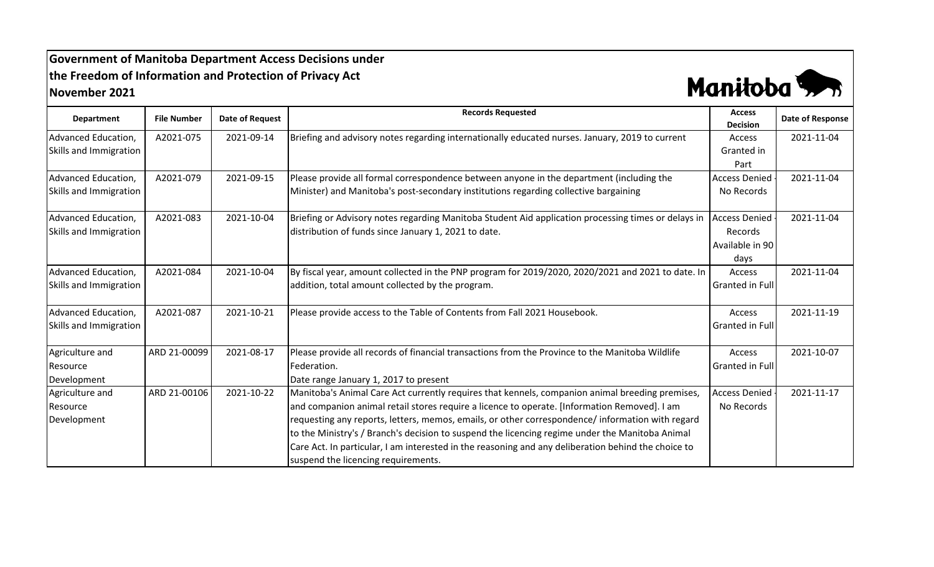## **Government of Manitoba Department Access Decisions under the Freedom of Information and Protection of Privacy Act November 2021**



| <b>Department</b>      | <b>File Number</b> | <b>Date of Request</b> | <b>Records Requested</b>                                                                            | <b>Access</b><br><b>Decision</b> | Date of Response |
|------------------------|--------------------|------------------------|-----------------------------------------------------------------------------------------------------|----------------------------------|------------------|
| Advanced Education,    | A2021-075          | 2021-09-14             | Briefing and advisory notes regarding internationally educated nurses. January, 2019 to current     | Access                           | 2021-11-04       |
| Skills and Immigration |                    |                        |                                                                                                     | Granted in                       |                  |
|                        |                    |                        |                                                                                                     | Part                             |                  |
| Advanced Education,    | A2021-079          | 2021-09-15             | Please provide all formal correspondence between anyone in the department (including the            | <b>Access Denied</b>             | 2021-11-04       |
| Skills and Immigration |                    |                        | Minister) and Manitoba's post-secondary institutions regarding collective bargaining                | No Records                       |                  |
| Advanced Education,    | A2021-083          | 2021-10-04             | Briefing or Advisory notes regarding Manitoba Student Aid application processing times or delays in | <b>Access Denied</b>             | 2021-11-04       |
| Skills and Immigration |                    |                        | distribution of funds since January 1, 2021 to date.                                                | Records                          |                  |
|                        |                    |                        |                                                                                                     | Available in 90                  |                  |
|                        |                    |                        |                                                                                                     | days                             |                  |
| Advanced Education,    | A2021-084          | 2021-10-04             | By fiscal year, amount collected in the PNP program for 2019/2020, 2020/2021 and 2021 to date. In   | Access                           | 2021-11-04       |
| Skills and Immigration |                    |                        | addition, total amount collected by the program.                                                    | Granted in Full                  |                  |
| Advanced Education,    | A2021-087          | 2021-10-21             | Please provide access to the Table of Contents from Fall 2021 Housebook.                            | Access                           | 2021-11-19       |
| Skills and Immigration |                    |                        |                                                                                                     | Granted in Full                  |                  |
| Agriculture and        | ARD 21-00099       | 2021-08-17             | Please provide all records of financial transactions from the Province to the Manitoba Wildlife     | Access                           | 2021-10-07       |
| Resource               |                    |                        | Federation.                                                                                         | Granted in Full                  |                  |
| Development            |                    |                        | Date range January 1, 2017 to present                                                               |                                  |                  |
| Agriculture and        | ARD 21-00106       | 2021-10-22             | Manitoba's Animal Care Act currently requires that kennels, companion animal breeding premises,     | <b>Access Denied</b>             | 2021-11-17       |
| Resource               |                    |                        | and companion animal retail stores require a licence to operate. [Information Removed]. I am        | No Records                       |                  |
| Development            |                    |                        | requesting any reports, letters, memos, emails, or other correspondence/ information with regard    |                                  |                  |
|                        |                    |                        | to the Ministry's / Branch's decision to suspend the licencing regime under the Manitoba Animal     |                                  |                  |
|                        |                    |                        | Care Act. In particular, I am interested in the reasoning and any deliberation behind the choice to |                                  |                  |
|                        |                    |                        | suspend the licencing requirements.                                                                 |                                  |                  |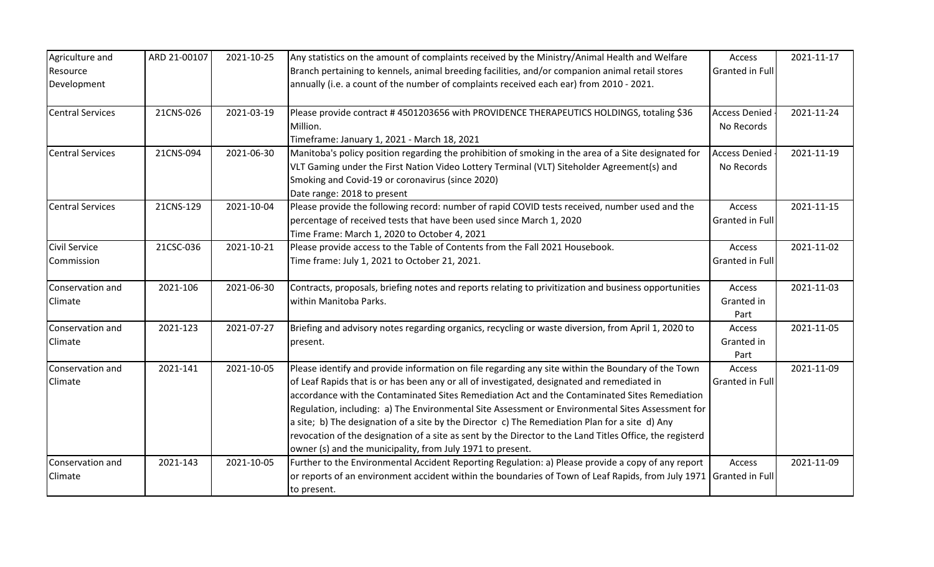| Agriculture and         | ARD 21-00107 | 2021-10-25 | Any statistics on the amount of complaints received by the Ministry/Animal Health and Welfare                      | Access                 | 2021-11-17 |
|-------------------------|--------------|------------|--------------------------------------------------------------------------------------------------------------------|------------------------|------------|
| Resource                |              |            | Branch pertaining to kennels, animal breeding facilities, and/or companion animal retail stores                    | Granted in Full        |            |
| Development             |              |            | annually (i.e. a count of the number of complaints received each ear) from 2010 - 2021.                            |                        |            |
| <b>Central Services</b> | 21CNS-026    | 2021-03-19 | Please provide contract #4501203656 with PROVIDENCE THERAPEUTICS HOLDINGS, totaling \$36                           | <b>Access Denied</b>   | 2021-11-24 |
|                         |              |            | Million.                                                                                                           | No Records             |            |
|                         |              |            | Timeframe: January 1, 2021 - March 18, 2021                                                                        |                        |            |
| <b>Central Services</b> | 21CNS-094    | 2021-06-30 | Manitoba's policy position regarding the prohibition of smoking in the area of a Site designated for               | <b>Access Denied</b>   | 2021-11-19 |
|                         |              |            | VLT Gaming under the First Nation Video Lottery Terminal (VLT) Siteholder Agreement(s) and                         | No Records             |            |
|                         |              |            | Smoking and Covid-19 or coronavirus (since 2020)                                                                   |                        |            |
|                         |              |            | Date range: 2018 to present                                                                                        |                        |            |
| <b>Central Services</b> | 21CNS-129    | 2021-10-04 | Please provide the following record: number of rapid COVID tests received, number used and the                     | Access                 | 2021-11-15 |
|                         |              |            | percentage of received tests that have been used since March 1, 2020                                               | <b>Granted in Full</b> |            |
|                         |              |            | Time Frame: March 1, 2020 to October 4, 2021                                                                       |                        |            |
| <b>Civil Service</b>    | 21CSC-036    | 2021-10-21 | Please provide access to the Table of Contents from the Fall 2021 Housebook.                                       | Access                 | 2021-11-02 |
| Commission              |              |            | Time frame: July 1, 2021 to October 21, 2021.                                                                      | Granted in Full        |            |
| Conservation and        | 2021-106     | 2021-06-30 | Contracts, proposals, briefing notes and reports relating to privitization and business opportunities              | Access                 | 2021-11-03 |
| Climate                 |              |            | within Manitoba Parks.                                                                                             | Granted in             |            |
|                         |              |            |                                                                                                                    | Part                   |            |
| Conservation and        | 2021-123     | 2021-07-27 | Briefing and advisory notes regarding organics, recycling or waste diversion, from April 1, 2020 to                | Access                 | 2021-11-05 |
| Climate                 |              |            | present.                                                                                                           | Granted in             |            |
|                         |              |            |                                                                                                                    | Part                   |            |
| Conservation and        | 2021-141     | 2021-10-05 | Please identify and provide information on file regarding any site within the Boundary of the Town                 | Access                 | 2021-11-09 |
| Climate                 |              |            | of Leaf Rapids that is or has been any or all of investigated, designated and remediated in                        | Granted in Full        |            |
|                         |              |            | accordance with the Contaminated Sites Remediation Act and the Contaminated Sites Remediation                      |                        |            |
|                         |              |            | Regulation, including: a) The Environmental Site Assessment or Environmental Sites Assessment for                  |                        |            |
|                         |              |            | a site; b) The designation of a site by the Director c) The Remediation Plan for a site d) Any                     |                        |            |
|                         |              |            | revocation of the designation of a site as sent by the Director to the Land Titles Office, the registerd           |                        |            |
|                         |              |            | owner (s) and the municipality, from July 1971 to present.                                                         |                        |            |
| Conservation and        | 2021-143     | 2021-10-05 | Further to the Environmental Accident Reporting Regulation: a) Please provide a copy of any report                 | Access                 | 2021-11-09 |
| Climate                 |              |            | or reports of an environment accident within the boundaries of Town of Leaf Rapids, from July 1971 Granted in Full |                        |            |
|                         |              |            | to present.                                                                                                        |                        |            |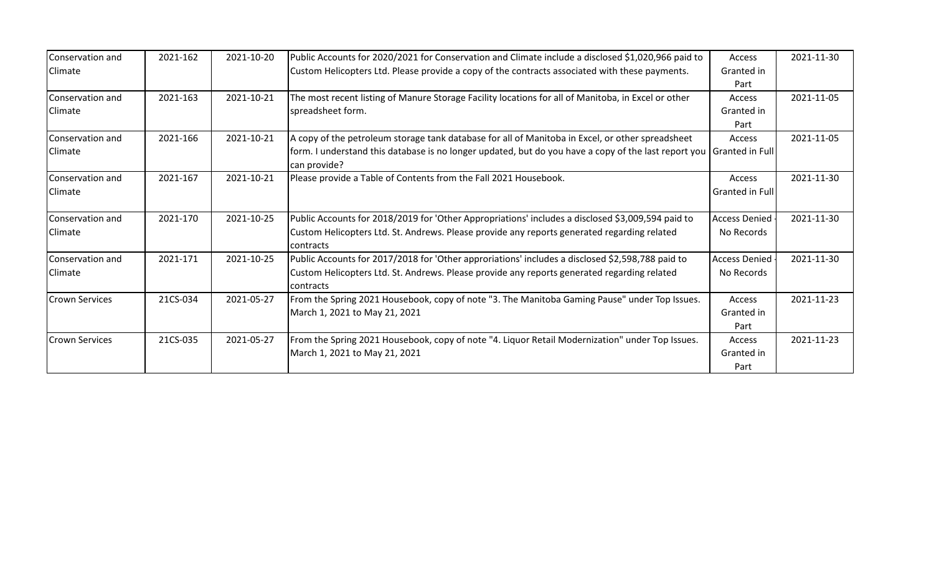| Conservation and      | 2021-162 | 2021-10-20 | Public Accounts for 2020/2021 for Conservation and Climate include a disclosed \$1,020,966 paid to                   | Access               | 2021-11-30 |
|-----------------------|----------|------------|----------------------------------------------------------------------------------------------------------------------|----------------------|------------|
| Climate               |          |            | Custom Helicopters Ltd. Please provide a copy of the contracts associated with these payments.                       | Granted in           |            |
|                       |          |            |                                                                                                                      | Part                 |            |
| Conservation and      | 2021-163 | 2021-10-21 | The most recent listing of Manure Storage Facility locations for all of Manitoba, in Excel or other                  | Access               | 2021-11-05 |
| Climate               |          |            | spreadsheet form.                                                                                                    | Granted in           |            |
|                       |          |            |                                                                                                                      | Part                 |            |
| Conservation and      | 2021-166 | 2021-10-21 | A copy of the petroleum storage tank database for all of Manitoba in Excel, or other spreadsheet                     | Access               | 2021-11-05 |
| Climate               |          |            | form. I understand this database is no longer updated, but do you have a copy of the last report you Granted in Full |                      |            |
|                       |          |            | can provide?                                                                                                         |                      |            |
| Conservation and      | 2021-167 | 2021-10-21 | Please provide a Table of Contents from the Fall 2021 Housebook.                                                     | Access               | 2021-11-30 |
| Climate               |          |            |                                                                                                                      | Granted in Full      |            |
|                       |          |            |                                                                                                                      |                      |            |
| Conservation and      | 2021-170 | 2021-10-25 | Public Accounts for 2018/2019 for 'Other Appropriations' includes a disclosed \$3,009,594 paid to                    | <b>Access Denied</b> | 2021-11-30 |
| Climate               |          |            | Custom Helicopters Ltd. St. Andrews. Please provide any reports generated regarding related                          | No Records           |            |
|                       |          |            | contracts                                                                                                            |                      |            |
| Conservation and      | 2021-171 | 2021-10-25 | Public Accounts for 2017/2018 for 'Other approriations' includes a disclosed \$2,598,788 paid to                     | <b>Access Denied</b> | 2021-11-30 |
| Climate               |          |            | Custom Helicopters Ltd. St. Andrews. Please provide any reports generated regarding related                          | No Records           |            |
|                       |          |            | contracts                                                                                                            |                      |            |
| <b>Crown Services</b> | 21CS-034 | 2021-05-27 | From the Spring 2021 Housebook, copy of note "3. The Manitoba Gaming Pause" under Top Issues.                        | Access               | 2021-11-23 |
|                       |          |            | March 1, 2021 to May 21, 2021                                                                                        | Granted in           |            |
|                       |          |            |                                                                                                                      | Part                 |            |
| <b>Crown Services</b> | 21CS-035 | 2021-05-27 | From the Spring 2021 Housebook, copy of note "4. Liquor Retail Modernization" under Top Issues.                      | Access               | 2021-11-23 |
|                       |          |            | March 1, 2021 to May 21, 2021                                                                                        | Granted in           |            |
|                       |          |            |                                                                                                                      | Part                 |            |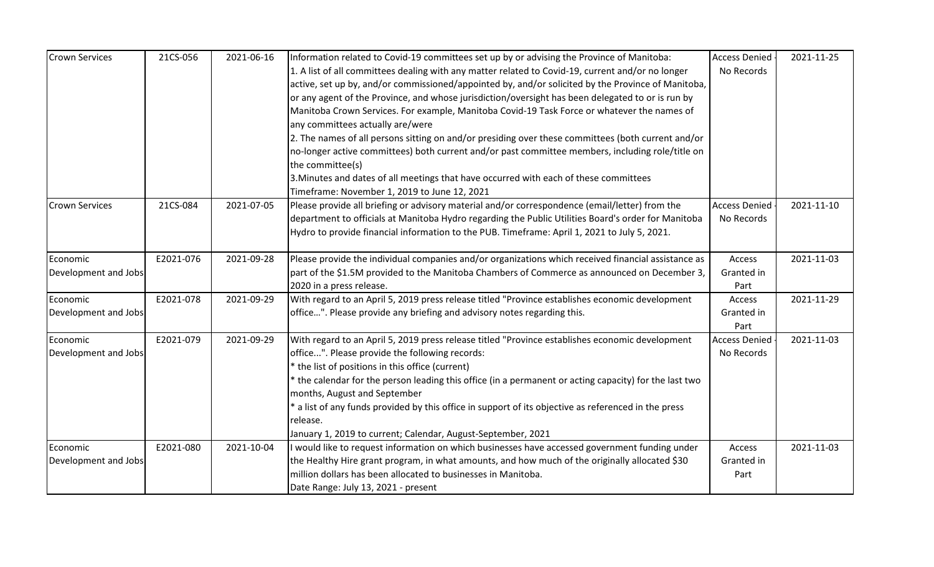| <b>Crown Services</b> | 21CS-056  | 2021-06-16 | Information related to Covid-19 committees set up by or advising the Province of Manitoba:                           | <b>Access Denied</b> | 2021-11-25 |
|-----------------------|-----------|------------|----------------------------------------------------------------------------------------------------------------------|----------------------|------------|
|                       |           |            | 1. A list of all committees dealing with any matter related to Covid-19, current and/or no longer                    | No Records           |            |
|                       |           |            | active, set up by, and/or commissioned/appointed by, and/or solicited by the Province of Manitoba,                   |                      |            |
|                       |           |            | or any agent of the Province, and whose jurisdiction/oversight has been delegated to or is run by                    |                      |            |
|                       |           |            | Manitoba Crown Services. For example, Manitoba Covid-19 Task Force or whatever the names of                          |                      |            |
|                       |           |            | any committees actually are/were                                                                                     |                      |            |
|                       |           |            | 2. The names of all persons sitting on and/or presiding over these committees (both current and/or                   |                      |            |
|                       |           |            | no-longer active committees) both current and/or past committee members, including role/title on<br>the committee(s) |                      |            |
|                       |           |            | 3. Minutes and dates of all meetings that have occurred with each of these committees                                |                      |            |
|                       |           |            | Timeframe: November 1, 2019 to June 12, 2021                                                                         |                      |            |
| <b>Crown Services</b> | 21CS-084  | 2021-07-05 | Please provide all briefing or advisory material and/or correspondence (email/letter) from the                       | <b>Access Denied</b> | 2021-11-10 |
|                       |           |            | department to officials at Manitoba Hydro regarding the Public Utilities Board's order for Manitoba                  | No Records           |            |
|                       |           |            | Hydro to provide financial information to the PUB. Timeframe: April 1, 2021 to July 5, 2021.                         |                      |            |
|                       |           |            |                                                                                                                      |                      |            |
| Economic              | E2021-076 | 2021-09-28 | Please provide the individual companies and/or organizations which received financial assistance as                  | Access               | 2021-11-03 |
| Development and Jobs  |           |            | part of the \$1.5M provided to the Manitoba Chambers of Commerce as announced on December 3,                         | Granted in           |            |
|                       |           |            | 2020 in a press release.                                                                                             | Part                 |            |
| Economic              | E2021-078 | 2021-09-29 | With regard to an April 5, 2019 press release titled "Province establishes economic development                      | Access               | 2021-11-29 |
| Development and Jobs  |           |            | office". Please provide any briefing and advisory notes regarding this.                                              | Granted in           |            |
|                       |           |            |                                                                                                                      | Part                 |            |
| Economic              | E2021-079 | 2021-09-29 | With regard to an April 5, 2019 press release titled "Province establishes economic development                      | <b>Access Denied</b> | 2021-11-03 |
| Development and Jobs  |           |            | office". Please provide the following records:                                                                       | No Records           |            |
|                       |           |            | * the list of positions in this office (current)                                                                     |                      |            |
|                       |           |            | the calendar for the person leading this office (in a permanent or acting capacity) for the last two                 |                      |            |
|                       |           |            | months, August and September                                                                                         |                      |            |
|                       |           |            | a list of any funds provided by this office in support of its objective as referenced in the press                   |                      |            |
|                       |           |            | release.                                                                                                             |                      |            |
|                       |           |            | January 1, 2019 to current; Calendar, August-September, 2021                                                         |                      |            |
| Economic              | E2021-080 | 2021-10-04 | I would like to request information on which businesses have accessed government funding under                       | Access               | 2021-11-03 |
| Development and Jobs  |           |            | the Healthy Hire grant program, in what amounts, and how much of the originally allocated \$30                       | Granted in           |            |
|                       |           |            | million dollars has been allocated to businesses in Manitoba.                                                        | Part                 |            |
|                       |           |            | Date Range: July 13, 2021 - present                                                                                  |                      |            |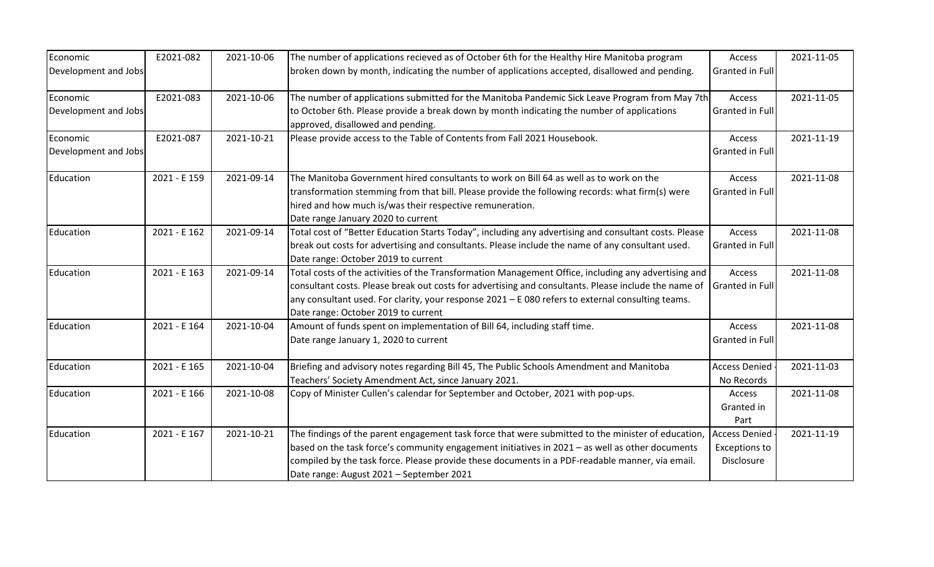| Economic             | E2021-082    | 2021-10-06 | The number of applications recieved as of October 6th for the Healthy Hire Manitoba program                                     | Access               | 2021-11-05 |
|----------------------|--------------|------------|---------------------------------------------------------------------------------------------------------------------------------|----------------------|------------|
| Development and Jobs |              |            | broken down by month, indicating the number of applications accepted, disallowed and pending.                                   | Granted in Full      |            |
| Economic             | E2021-083    | 2021-10-06 | The number of applications submitted for the Manitoba Pandemic Sick Leave Program from May 7th                                  | Access               | 2021-11-05 |
| Development and Jobs |              |            | to October 6th. Please provide a break down by month indicating the number of applications<br>approved, disallowed and pending. | Granted in Full      |            |
| Economic             | E2021-087    | 2021-10-21 | Please provide access to the Table of Contents from Fall 2021 Housebook.                                                        | Access               | 2021-11-19 |
| Development and Jobs |              |            |                                                                                                                                 | Granted in Full      |            |
| Education            | 2021 - E 159 | 2021-09-14 | The Manitoba Government hired consultants to work on Bill 64 as well as to work on the                                          | Access               | 2021-11-08 |
|                      |              |            | transformation stemming from that bill. Please provide the following records: what firm(s) were                                 | Granted in Full      |            |
|                      |              |            | hired and how much is/was their respective remuneration.                                                                        |                      |            |
|                      |              |            | Date range January 2020 to current                                                                                              |                      |            |
| Education            | 2021 - E 162 | 2021-09-14 | Total cost of "Better Education Starts Today", including any advertising and consultant costs. Please                           | Access               | 2021-11-08 |
|                      |              |            | break out costs for advertising and consultants. Please include the name of any consultant used.                                | Granted in Full      |            |
|                      |              |            | Date range: October 2019 to current                                                                                             |                      |            |
| Education            | 2021 - E 163 | 2021-09-14 | Total costs of the activities of the Transformation Management Office, including any advertising and                            | Access               | 2021-11-08 |
|                      |              |            | consultant costs. Please break out costs for advertising and consultants. Please include the name of                            | Granted in Full      |            |
|                      |              |            | any consultant used. For clarity, your response $2021 - E080$ refers to external consulting teams.                              |                      |            |
|                      |              |            | Date range: October 2019 to current                                                                                             |                      |            |
| Education            | 2021 - E 164 | 2021-10-04 | Amount of funds spent on implementation of Bill 64, including staff time.                                                       | Access               | 2021-11-08 |
|                      |              |            | Date range January 1, 2020 to current                                                                                           | Granted in Full      |            |
| Education            | 2021 - E 165 | 2021-10-04 | Briefing and advisory notes regarding Bill 45, The Public Schools Amendment and Manitoba                                        | <b>Access Denied</b> | 2021-11-03 |
|                      |              |            | Teachers' Society Amendment Act, since January 2021.                                                                            | No Records           |            |
| Education            | 2021 - E 166 | 2021-10-08 | Copy of Minister Cullen's calendar for September and October, 2021 with pop-ups.                                                | Access               | 2021-11-08 |
|                      |              |            |                                                                                                                                 | Granted in           |            |
|                      |              |            |                                                                                                                                 | Part                 |            |
| Education            | 2021 - E 167 | 2021-10-21 | The findings of the parent engagement task force that were submitted to the minister of education,                              | <b>Access Denied</b> | 2021-11-19 |
|                      |              |            | based on the task force's community engagement initiatives in $2021 -$ as well as other documents                               | <b>Exceptions to</b> |            |
|                      |              |            | compiled by the task force. Please provide these documents in a PDF-readable manner, via email.                                 | Disclosure           |            |
|                      |              |            | Date range: August 2021 - September 2021                                                                                        |                      |            |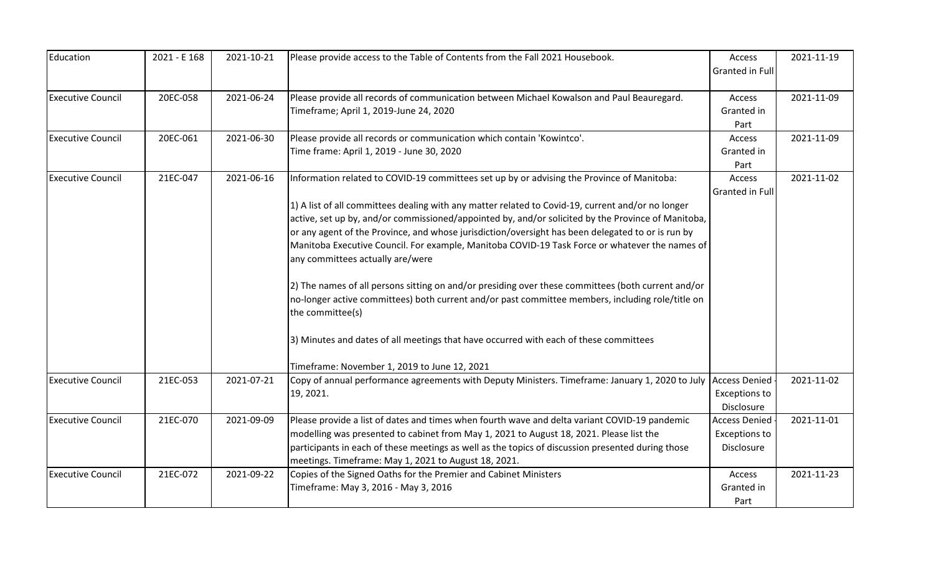| Education                | 2021 - E 168 | 2021-10-21 | Please provide access to the Table of Contents from the Fall 2021 Housebook.                       | Access                 | 2021-11-19 |
|--------------------------|--------------|------------|----------------------------------------------------------------------------------------------------|------------------------|------------|
|                          |              |            |                                                                                                    | <b>Granted in Full</b> |            |
|                          |              |            |                                                                                                    |                        |            |
| <b>Executive Council</b> | 20EC-058     | 2021-06-24 | Please provide all records of communication between Michael Kowalson and Paul Beauregard.          | <b>Access</b>          | 2021-11-09 |
|                          |              |            | Timeframe; April 1, 2019-June 24, 2020                                                             | Granted in             |            |
|                          |              |            |                                                                                                    | Part                   |            |
| <b>Executive Council</b> | 20EC-061     | 2021-06-30 | Please provide all records or communication which contain 'Kowintco'.                              | Access                 | 2021-11-09 |
|                          |              |            | Time frame: April 1, 2019 - June 30, 2020                                                          | Granted in             |            |
|                          |              |            |                                                                                                    | Part                   |            |
| <b>Executive Council</b> | 21EC-047     | 2021-06-16 | Information related to COVID-19 committees set up by or advising the Province of Manitoba:         | Access                 | 2021-11-02 |
|                          |              |            |                                                                                                    | Granted in Full        |            |
|                          |              |            | 1) A list of all committees dealing with any matter related to Covid-19, current and/or no longer  |                        |            |
|                          |              |            | active, set up by, and/or commissioned/appointed by, and/or solicited by the Province of Manitoba, |                        |            |
|                          |              |            | or any agent of the Province, and whose jurisdiction/oversight has been delegated to or is run by  |                        |            |
|                          |              |            | Manitoba Executive Council. For example, Manitoba COVID-19 Task Force or whatever the names of     |                        |            |
|                          |              |            | any committees actually are/were                                                                   |                        |            |
|                          |              |            | 2) The names of all persons sitting on and/or presiding over these committees (both current and/or |                        |            |
|                          |              |            | no-longer active committees) both current and/or past committee members, including role/title on   |                        |            |
|                          |              |            | the committee(s)                                                                                   |                        |            |
|                          |              |            | 3) Minutes and dates of all meetings that have occurred with each of these committees              |                        |            |
|                          |              |            | Timeframe: November 1, 2019 to June 12, 2021                                                       |                        |            |
| <b>Executive Council</b> | 21EC-053     | 2021-07-21 | Copy of annual performance agreements with Deputy Ministers. Timeframe: January 1, 2020 to July    | <b>Access Denied</b>   | 2021-11-02 |
|                          |              |            | 19, 2021.                                                                                          | <b>Exceptions to</b>   |            |
|                          |              |            |                                                                                                    | Disclosure             |            |
| <b>Executive Council</b> | 21EC-070     | 2021-09-09 | Please provide a list of dates and times when fourth wave and delta variant COVID-19 pandemic      | <b>Access Denied</b>   | 2021-11-01 |
|                          |              |            | modelling was presented to cabinet from May 1, 2021 to August 18, 2021. Please list the            | <b>Exceptions to</b>   |            |
|                          |              |            | participants in each of these meetings as well as the topics of discussion presented during those  | Disclosure             |            |
|                          |              |            | meetings. Timeframe: May 1, 2021 to August 18, 2021.                                               |                        |            |
| <b>Executive Council</b> | 21EC-072     | 2021-09-22 | Copies of the Signed Oaths for the Premier and Cabinet Ministers                                   | Access                 | 2021-11-23 |
|                          |              |            | Timeframe: May 3, 2016 - May 3, 2016                                                               | Granted in             |            |
|                          |              |            |                                                                                                    | Part                   |            |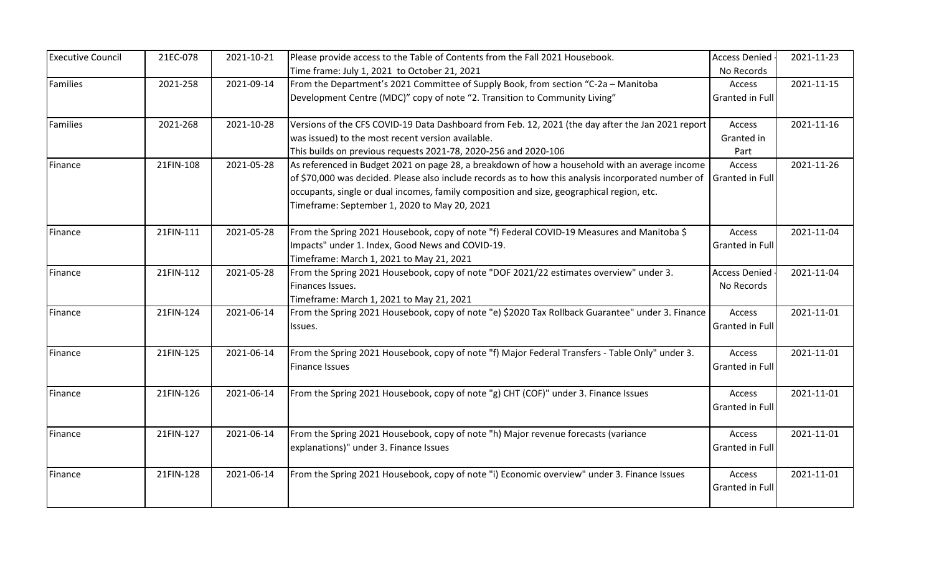| <b>Executive Council</b> | 21EC-078  | 2021-10-21 | Please provide access to the Table of Contents from the Fall 2021 Housebook.                        | <b>Access Denied</b>   | 2021-11-23 |
|--------------------------|-----------|------------|-----------------------------------------------------------------------------------------------------|------------------------|------------|
|                          |           |            | Time frame: July 1, 2021 to October 21, 2021                                                        | No Records             |            |
| Families                 | 2021-258  | 2021-09-14 | From the Department's 2021 Committee of Supply Book, from section "C-2a - Manitoba                  | Access                 | 2021-11-15 |
|                          |           |            | Development Centre (MDC)" copy of note "2. Transition to Community Living"                          | <b>Granted in Full</b> |            |
| Families                 | 2021-268  | 2021-10-28 | Versions of the CFS COVID-19 Data Dashboard from Feb. 12, 2021 (the day after the Jan 2021 report   | Access                 | 2021-11-16 |
|                          |           |            | was issued) to the most recent version available.                                                   | Granted in             |            |
|                          |           |            | This builds on previous requests 2021-78, 2020-256 and 2020-106                                     | Part                   |            |
| Finance                  | 21FIN-108 | 2021-05-28 | As referenced in Budget 2021 on page 28, a breakdown of how a household with an average income      | Access                 | 2021-11-26 |
|                          |           |            | of \$70,000 was decided. Please also include records as to how this analysis incorporated number of | <b>Granted in Full</b> |            |
|                          |           |            | occupants, single or dual incomes, family composition and size, geographical region, etc.           |                        |            |
|                          |           |            | Timeframe: September 1, 2020 to May 20, 2021                                                        |                        |            |
| Finance                  | 21FIN-111 | 2021-05-28 | From the Spring 2021 Housebook, copy of note "f) Federal COVID-19 Measures and Manitoba \$          | Access                 | 2021-11-04 |
|                          |           |            | Impacts" under 1. Index, Good News and COVID-19.                                                    | Granted in Full        |            |
|                          |           |            | Timeframe: March 1, 2021 to May 21, 2021                                                            |                        |            |
| Finance                  | 21FIN-112 | 2021-05-28 | From the Spring 2021 Housebook, copy of note "DOF 2021/22 estimates overview" under 3.              | <b>Access Denied</b>   | 2021-11-04 |
|                          |           |            | Finances Issues.                                                                                    | No Records             |            |
|                          |           |            | Timeframe: March 1, 2021 to May 21, 2021                                                            |                        |            |
| Finance                  | 21FIN-124 | 2021-06-14 | From the Spring 2021 Housebook, copy of note "e) \$2020 Tax Rollback Guarantee" under 3. Finance    | Access                 | 2021-11-01 |
|                          |           |            | Issues.                                                                                             | Granted in Full        |            |
| Finance                  | 21FIN-125 | 2021-06-14 | From the Spring 2021 Housebook, copy of note "f) Major Federal Transfers - Table Only" under 3.     | Access                 | 2021-11-01 |
|                          |           |            | Finance Issues                                                                                      | Granted in Full        |            |
| Finance                  | 21FIN-126 | 2021-06-14 | From the Spring 2021 Housebook, copy of note "g) CHT (COF)" under 3. Finance Issues                 | Access                 | 2021-11-01 |
|                          |           |            |                                                                                                     | <b>Granted in Full</b> |            |
| Finance                  | 21FIN-127 | 2021-06-14 | From the Spring 2021 Housebook, copy of note "h) Major revenue forecasts (variance                  | Access                 | 2021-11-01 |
|                          |           |            | explanations)" under 3. Finance Issues                                                              | Granted in Full        |            |
| Finance                  | 21FIN-128 | 2021-06-14 | From the Spring 2021 Housebook, copy of note "i) Economic overview" under 3. Finance Issues         | Access                 | 2021-11-01 |
|                          |           |            |                                                                                                     | <b>Granted in Full</b> |            |
|                          |           |            |                                                                                                     |                        |            |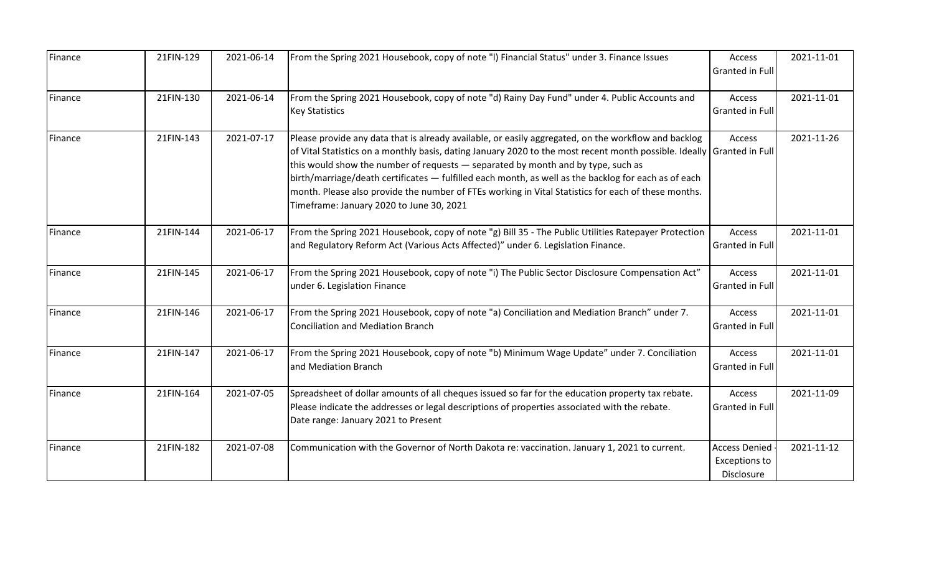| Finance | 21FIN-129 | 2021-06-14 | From the Spring 2021 Housebook, copy of note "I) Financial Status" under 3. Finance Issues                                                                                                                                                                                                                                                                                                                                                                                                                                                                                    | Access<br>Granted in Full                                  | 2021-11-01 |
|---------|-----------|------------|-------------------------------------------------------------------------------------------------------------------------------------------------------------------------------------------------------------------------------------------------------------------------------------------------------------------------------------------------------------------------------------------------------------------------------------------------------------------------------------------------------------------------------------------------------------------------------|------------------------------------------------------------|------------|
| Finance | 21FIN-130 | 2021-06-14 | From the Spring 2021 Housebook, copy of note "d) Rainy Day Fund" under 4. Public Accounts and<br><b>Key Statistics</b>                                                                                                                                                                                                                                                                                                                                                                                                                                                        | Access<br>Granted in Full                                  | 2021-11-01 |
| Finance | 21FIN-143 | 2021-07-17 | Please provide any data that is already available, or easily aggregated, on the workflow and backlog<br>of Vital Statistics on a monthly basis, dating January 2020 to the most recent month possible. Ideally Granted in Full<br>this would show the number of requests - separated by month and by type, such as<br>birth/marriage/death certificates - fulfilled each month, as well as the backlog for each as of each<br>month. Please also provide the number of FTEs working in Vital Statistics for each of these months.<br>Timeframe: January 2020 to June 30, 2021 | Access                                                     | 2021-11-26 |
| Finance | 21FIN-144 | 2021-06-17 | From the Spring 2021 Housebook, copy of note "g) Bill 35 - The Public Utilities Ratepayer Protection<br>and Regulatory Reform Act (Various Acts Affected)" under 6. Legislation Finance.                                                                                                                                                                                                                                                                                                                                                                                      | Access<br>Granted in Full                                  | 2021-11-01 |
| Finance | 21FIN-145 | 2021-06-17 | From the Spring 2021 Housebook, copy of note "i) The Public Sector Disclosure Compensation Act"<br>under 6. Legislation Finance                                                                                                                                                                                                                                                                                                                                                                                                                                               | Access<br>Granted in Full                                  | 2021-11-01 |
| Finance | 21FIN-146 | 2021-06-17 | From the Spring 2021 Housebook, copy of note "a) Conciliation and Mediation Branch" under 7.<br><b>Conciliation and Mediation Branch</b>                                                                                                                                                                                                                                                                                                                                                                                                                                      | Access<br>Granted in Full                                  | 2021-11-01 |
| Finance | 21FIN-147 | 2021-06-17 | From the Spring 2021 Housebook, copy of note "b) Minimum Wage Update" under 7. Conciliation<br>and Mediation Branch                                                                                                                                                                                                                                                                                                                                                                                                                                                           | Access<br>Granted in Full                                  | 2021-11-01 |
| Finance | 21FIN-164 | 2021-07-05 | Spreadsheet of dollar amounts of all cheques issued so far for the education property tax rebate.<br>Please indicate the addresses or legal descriptions of properties associated with the rebate.<br>Date range: January 2021 to Present                                                                                                                                                                                                                                                                                                                                     | Access<br>Granted in Full                                  | 2021-11-09 |
| Finance | 21FIN-182 | 2021-07-08 | Communication with the Governor of North Dakota re: vaccination. January 1, 2021 to current.                                                                                                                                                                                                                                                                                                                                                                                                                                                                                  | <b>Access Denied</b><br><b>Exceptions to</b><br>Disclosure | 2021-11-12 |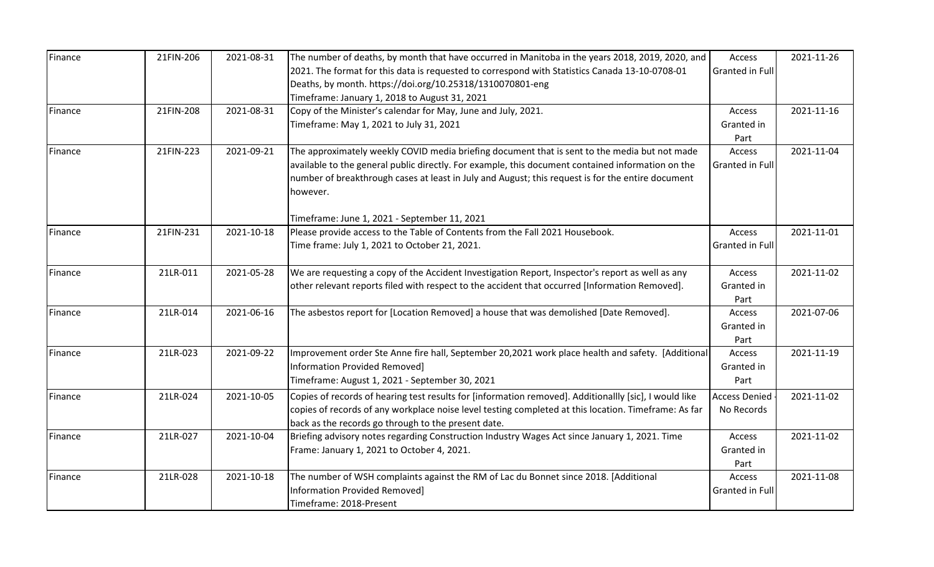| Finance | 21FIN-206 | 2021-08-31 | The number of deaths, by month that have occurred in Manitoba in the years 2018, 2019, 2020, and       | Access                 | 2021-11-26 |
|---------|-----------|------------|--------------------------------------------------------------------------------------------------------|------------------------|------------|
|         |           |            | 2021. The format for this data is requested to correspond with Statistics Canada 13-10-0708-01         | Granted in Full        |            |
|         |           |            | Deaths, by month. https://doi.org/10.25318/1310070801-eng                                              |                        |            |
|         |           |            | Timeframe: January 1, 2018 to August 31, 2021                                                          |                        |            |
| Finance | 21FIN-208 | 2021-08-31 | Copy of the Minister's calendar for May, June and July, 2021.                                          | Access                 | 2021-11-16 |
|         |           |            | Timeframe: May 1, 2021 to July 31, 2021                                                                | Granted in             |            |
|         |           |            |                                                                                                        | Part                   |            |
| Finance | 21FIN-223 | 2021-09-21 | The approximately weekly COVID media briefing document that is sent to the media but not made          | Access                 | 2021-11-04 |
|         |           |            | available to the general public directly. For example, this document contained information on the      | Granted in Full        |            |
|         |           |            | number of breakthrough cases at least in July and August; this request is for the entire document      |                        |            |
|         |           |            | however.                                                                                               |                        |            |
|         |           |            |                                                                                                        |                        |            |
|         |           |            | Timeframe: June 1, 2021 - September 11, 2021                                                           |                        |            |
| Finance | 21FIN-231 | 2021-10-18 | Please provide access to the Table of Contents from the Fall 2021 Housebook.                           | Access                 | 2021-11-01 |
|         |           |            | Time frame: July 1, 2021 to October 21, 2021.                                                          | Granted in Full        |            |
| Finance | 21LR-011  | 2021-05-28 | We are requesting a copy of the Accident Investigation Report, Inspector's report as well as any       | Access                 | 2021-11-02 |
|         |           |            | other relevant reports filed with respect to the accident that occurred [Information Removed].         | Granted in             |            |
|         |           |            |                                                                                                        | Part                   |            |
| Finance | 21LR-014  | 2021-06-16 | The asbestos report for [Location Removed] a house that was demolished [Date Removed].                 | Access                 | 2021-07-06 |
|         |           |            |                                                                                                        | Granted in             |            |
|         |           |            |                                                                                                        | Part                   |            |
| Finance | 21LR-023  | 2021-09-22 | Improvement order Ste Anne fire hall, September 20,2021 work place health and safety. [Additional      | Access                 | 2021-11-19 |
|         |           |            | Information Provided Removed]                                                                          | Granted in             |            |
|         |           |            | Timeframe: August 1, 2021 - September 30, 2021                                                         | Part                   |            |
| Finance | 21LR-024  | 2021-10-05 | Copies of records of hearing test results for [information removed]. Additionallly [sic], I would like | <b>Access Denied</b>   | 2021-11-02 |
|         |           |            | copies of records of any workplace noise level testing completed at this location. Timeframe: As far   | No Records             |            |
|         |           |            | back as the records go through to the present date.                                                    |                        |            |
| Finance | 21LR-027  | 2021-10-04 | Briefing advisory notes regarding Construction Industry Wages Act since January 1, 2021. Time          | Access                 | 2021-11-02 |
|         |           |            | Frame: January 1, 2021 to October 4, 2021.                                                             | Granted in             |            |
|         |           |            |                                                                                                        | Part                   |            |
| Finance | 21LR-028  | 2021-10-18 | The number of WSH complaints against the RM of Lac du Bonnet since 2018. [Additional                   | Access                 | 2021-11-08 |
|         |           |            | <b>Information Provided Removed]</b>                                                                   | <b>Granted in Full</b> |            |
|         |           |            | Timeframe: 2018-Present                                                                                |                        |            |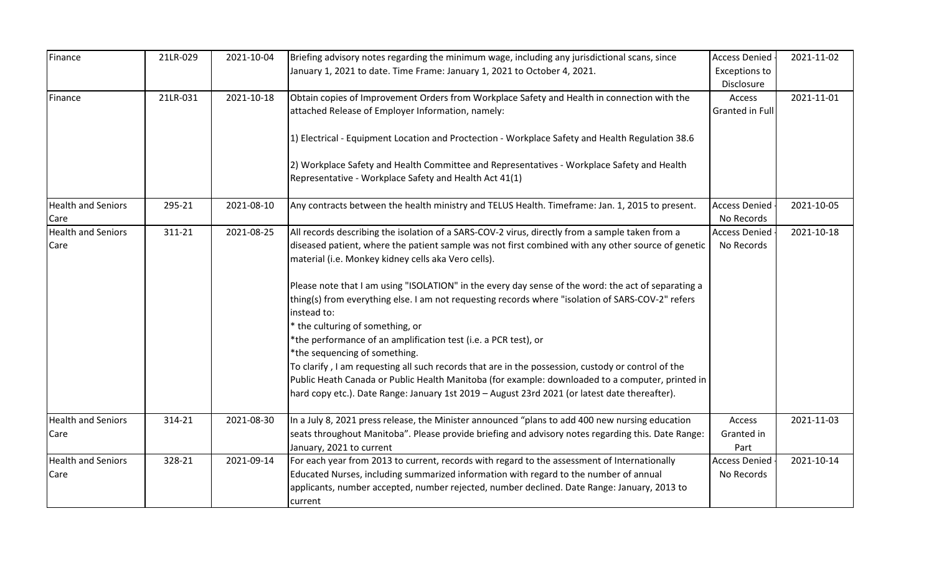| Finance                           | 21LR-029 | 2021-10-04 | Briefing advisory notes regarding the minimum wage, including any jurisdictional scans, since<br>January 1, 2021 to date. Time Frame: January 1, 2021 to October 4, 2021.                                                                                                                               | <b>Access Denied</b><br>Exceptions to<br>Disclosure | 2021-11-02 |
|-----------------------------------|----------|------------|---------------------------------------------------------------------------------------------------------------------------------------------------------------------------------------------------------------------------------------------------------------------------------------------------------|-----------------------------------------------------|------------|
| Finance                           | 21LR-031 | 2021-10-18 | Obtain copies of Improvement Orders from Workplace Safety and Health in connection with the<br>attached Release of Employer Information, namely:                                                                                                                                                        | Access<br>Granted in Full                           | 2021-11-01 |
|                                   |          |            | 1) Electrical - Equipment Location and Proctection - Workplace Safety and Health Regulation 38.6<br>2) Workplace Safety and Health Committee and Representatives - Workplace Safety and Health<br>Representative - Workplace Safety and Health Act 41(1)                                                |                                                     |            |
|                                   |          |            |                                                                                                                                                                                                                                                                                                         |                                                     |            |
| <b>Health and Seniors</b><br>Care | 295-21   | 2021-08-10 | Any contracts between the health ministry and TELUS Health. Timeframe: Jan. 1, 2015 to present.                                                                                                                                                                                                         | <b>Access Denied</b><br>No Records                  | 2021-10-05 |
| <b>Health and Seniors</b><br>Care | 311-21   | 2021-08-25 | All records describing the isolation of a SARS-COV-2 virus, directly from a sample taken from a<br>diseased patient, where the patient sample was not first combined with any other source of genetic<br>material (i.e. Monkey kidney cells aka Vero cells).                                            | <b>Access Denied</b><br>No Records                  | 2021-10-18 |
|                                   |          |            | Please note that I am using "ISOLATION" in the every day sense of the word: the act of separating a<br>thing(s) from everything else. I am not requesting records where "isolation of SARS-COV-2" refers<br>instead to:                                                                                 |                                                     |            |
|                                   |          |            | * the culturing of something, or<br>*the performance of an amplification test (i.e. a PCR test), or<br>*the sequencing of something.                                                                                                                                                                    |                                                     |            |
|                                   |          |            | To clarify, I am requesting all such records that are in the possession, custody or control of the<br>Public Heath Canada or Public Health Manitoba (for example: downloaded to a computer, printed in<br>hard copy etc.). Date Range: January 1st 2019 - August 23rd 2021 (or latest date thereafter). |                                                     |            |
| <b>Health and Seniors</b><br>Care | 314-21   | 2021-08-30 | In a July 8, 2021 press release, the Minister announced "plans to add 400 new nursing education<br>seats throughout Manitoba". Please provide briefing and advisory notes regarding this. Date Range:<br>January, 2021 to current                                                                       | Access<br>Granted in<br>Part                        | 2021-11-03 |
| <b>Health and Seniors</b><br>Care | 328-21   | 2021-09-14 | For each year from 2013 to current, records with regard to the assessment of Internationally<br>Educated Nurses, including summarized information with regard to the number of annual<br>applicants, number accepted, number rejected, number declined. Date Range: January, 2013 to<br>current         | <b>Access Denied</b><br>No Records                  | 2021-10-14 |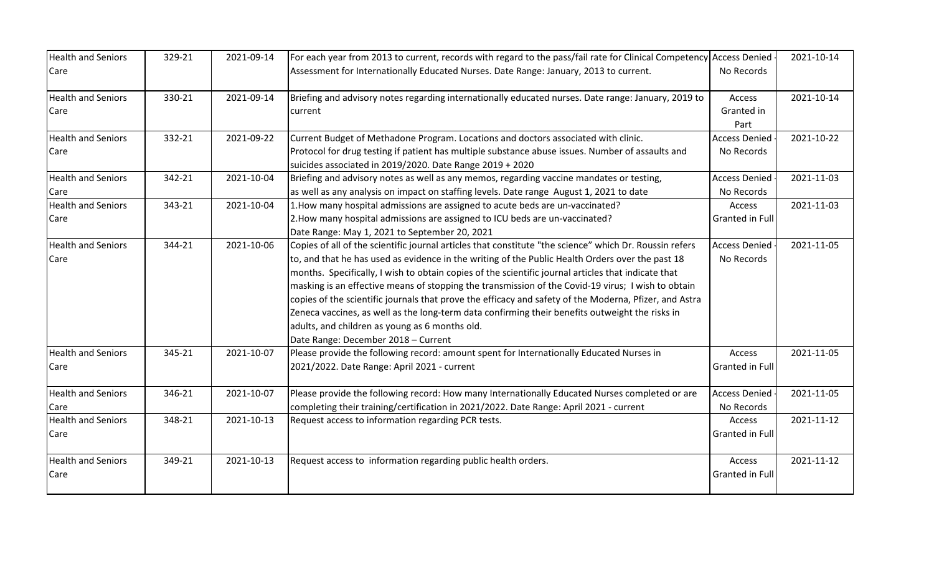| <b>Health and Seniors</b> | 329-21 | 2021-09-14 | For each year from 2013 to current, records with regard to the pass/fail rate for Clinical Competency Access Denied - |                      | 2021-10-14 |
|---------------------------|--------|------------|-----------------------------------------------------------------------------------------------------------------------|----------------------|------------|
| Care                      |        |            | Assessment for Internationally Educated Nurses. Date Range: January, 2013 to current.                                 | No Records           |            |
| <b>Health and Seniors</b> | 330-21 | 2021-09-14 | Briefing and advisory notes regarding internationally educated nurses. Date range: January, 2019 to                   | Access               | 2021-10-14 |
| Care                      |        |            | current                                                                                                               | Granted in           |            |
|                           |        |            |                                                                                                                       | Part                 |            |
| <b>Health and Seniors</b> | 332-21 | 2021-09-22 | Current Budget of Methadone Program. Locations and doctors associated with clinic.                                    | <b>Access Denied</b> | 2021-10-22 |
| Care                      |        |            | Protocol for drug testing if patient has multiple substance abuse issues. Number of assaults and                      | No Records           |            |
|                           |        |            | suicides associated in 2019/2020. Date Range 2019 + 2020                                                              |                      |            |
| <b>Health and Seniors</b> | 342-21 | 2021-10-04 | Briefing and advisory notes as well as any memos, regarding vaccine mandates or testing,                              | Access Denied        | 2021-11-03 |
| Care                      |        |            | as well as any analysis on impact on staffing levels. Date range August 1, 2021 to date                               | No Records           |            |
| <b>Health and Seniors</b> | 343-21 | 2021-10-04 | 1. How many hospital admissions are assigned to acute beds are un-vaccinated?                                         | Access               | 2021-11-03 |
| Care                      |        |            | 2. How many hospital admissions are assigned to ICU beds are un-vaccinated?                                           | Granted in Full      |            |
|                           |        |            | Date Range: May 1, 2021 to September 20, 2021                                                                         |                      |            |
| <b>Health and Seniors</b> | 344-21 | 2021-10-06 | Copies of all of the scientific journal articles that constitute "the science" which Dr. Roussin refers               | <b>Access Denied</b> | 2021-11-05 |
| Care                      |        |            | to, and that he has used as evidence in the writing of the Public Health Orders over the past 18                      | No Records           |            |
|                           |        |            | months. Specifically, I wish to obtain copies of the scientific journal articles that indicate that                   |                      |            |
|                           |        |            | masking is an effective means of stopping the transmission of the Covid-19 virus; I wish to obtain                    |                      |            |
|                           |        |            | copies of the scientific journals that prove the efficacy and safety of the Moderna, Pfizer, and Astra                |                      |            |
|                           |        |            | Zeneca vaccines, as well as the long-term data confirming their benefits outweight the risks in                       |                      |            |
|                           |        |            | adults, and children as young as 6 months old.                                                                        |                      |            |
|                           |        |            | Date Range: December 2018 - Current                                                                                   |                      |            |
| <b>Health and Seniors</b> | 345-21 | 2021-10-07 | Please provide the following record: amount spent for Internationally Educated Nurses in                              | Access               | 2021-11-05 |
| Care                      |        |            | 2021/2022. Date Range: April 2021 - current                                                                           | Granted in Full      |            |
| <b>Health and Seniors</b> | 346-21 | 2021-10-07 | Please provide the following record: How many Internationally Educated Nurses completed or are                        | Access Denied        | 2021-11-05 |
| Care                      |        |            | completing their training/certification in 2021/2022. Date Range: April 2021 - current                                | No Records           |            |
| <b>Health and Seniors</b> | 348-21 | 2021-10-13 | Request access to information regarding PCR tests.                                                                    | Access               | 2021-11-12 |
| Care                      |        |            |                                                                                                                       | Granted in Full      |            |
| <b>Health and Seniors</b> | 349-21 | 2021-10-13 | Request access to information regarding public health orders.                                                         | Access               | 2021-11-12 |
| Care                      |        |            |                                                                                                                       | Granted in Full      |            |
|                           |        |            |                                                                                                                       |                      |            |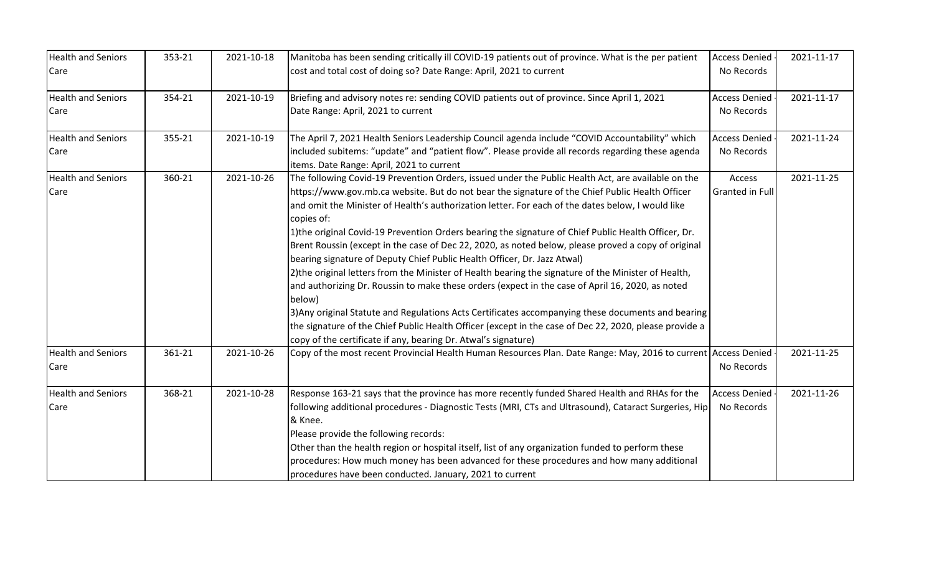| <b>Health and Seniors</b><br>Care | 353-21 | 2021-10-18 | Manitoba has been sending critically ill COVID-19 patients out of province. What is the per patient<br>cost and total cost of doing so? Date Range: April, 2021 to current                                                                                                                                                                                                                                                                                                                                                                                                                                                                                                                                                                                                                                                                                                                                                                                                                                                                                                                                                   | <b>Access Denied</b><br>No Records | 2021-11-17 |
|-----------------------------------|--------|------------|------------------------------------------------------------------------------------------------------------------------------------------------------------------------------------------------------------------------------------------------------------------------------------------------------------------------------------------------------------------------------------------------------------------------------------------------------------------------------------------------------------------------------------------------------------------------------------------------------------------------------------------------------------------------------------------------------------------------------------------------------------------------------------------------------------------------------------------------------------------------------------------------------------------------------------------------------------------------------------------------------------------------------------------------------------------------------------------------------------------------------|------------------------------------|------------|
| <b>Health and Seniors</b><br>Care | 354-21 | 2021-10-19 | Briefing and advisory notes re: sending COVID patients out of province. Since April 1, 2021<br>Date Range: April, 2021 to current                                                                                                                                                                                                                                                                                                                                                                                                                                                                                                                                                                                                                                                                                                                                                                                                                                                                                                                                                                                            | <b>Access Denied</b><br>No Records | 2021-11-17 |
| <b>Health and Seniors</b><br>Care | 355-21 | 2021-10-19 | The April 7, 2021 Health Seniors Leadership Council agenda include "COVID Accountability" which<br>included subitems: "update" and "patient flow". Please provide all records regarding these agenda<br>items. Date Range: April, 2021 to current                                                                                                                                                                                                                                                                                                                                                                                                                                                                                                                                                                                                                                                                                                                                                                                                                                                                            | <b>Access Denied</b><br>No Records | 2021-11-24 |
| <b>Health and Seniors</b><br>Care | 360-21 | 2021-10-26 | The following Covid-19 Prevention Orders, issued under the Public Health Act, are available on the<br>https://www.gov.mb.ca website. But do not bear the signature of the Chief Public Health Officer<br>and omit the Minister of Health's authorization letter. For each of the dates below, I would like<br>copies of:<br>1) the original Covid-19 Prevention Orders bearing the signature of Chief Public Health Officer, Dr.<br>Brent Roussin (except in the case of Dec 22, 2020, as noted below, please proved a copy of original<br>bearing signature of Deputy Chief Public Health Officer, Dr. Jazz Atwal)<br>[2] the original letters from the Minister of Health bearing the signature of the Minister of Health,<br>and authorizing Dr. Roussin to make these orders (expect in the case of April 16, 2020, as noted<br>below)<br>3) Any original Statute and Regulations Acts Certificates accompanying these documents and bearing<br>the signature of the Chief Public Health Officer (except in the case of Dec 22, 2020, please provide a<br>copy of the certificate if any, bearing Dr. Atwal's signature) | Access<br>Granted in Full          | 2021-11-25 |
| <b>Health and Seniors</b><br>Care | 361-21 | 2021-10-26 | Copy of the most recent Provincial Health Human Resources Plan. Date Range: May, 2016 to current Access Denied                                                                                                                                                                                                                                                                                                                                                                                                                                                                                                                                                                                                                                                                                                                                                                                                                                                                                                                                                                                                               | No Records                         | 2021-11-25 |
| <b>Health and Seniors</b><br>Care | 368-21 | 2021-10-28 | Response 163-21 says that the province has more recently funded Shared Health and RHAs for the<br>following additional procedures - Diagnostic Tests (MRI, CTs and Ultrasound), Cataract Surgeries, Hip<br>& Knee.<br>Please provide the following records:<br>Other than the health region or hospital itself, list of any organization funded to perform these<br>procedures: How much money has been advanced for these procedures and how many additional<br>procedures have been conducted. January, 2021 to current                                                                                                                                                                                                                                                                                                                                                                                                                                                                                                                                                                                                    | <b>Access Denied</b><br>No Records | 2021-11-26 |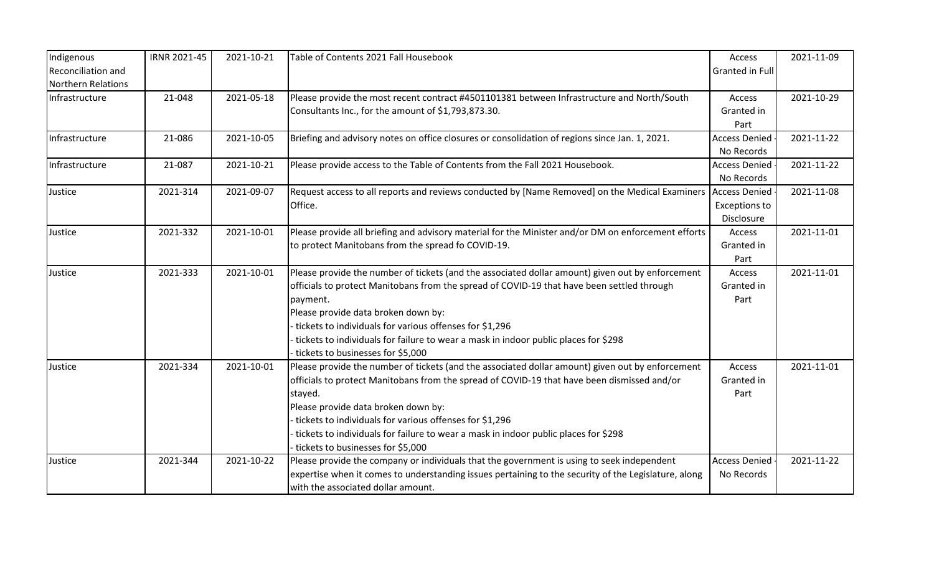| Indigenous                | <b>IRNR 2021-45</b> | 2021-10-21 | Table of Contents 2021 Fall Housebook                                                                          | Access               | 2021-11-09 |
|---------------------------|---------------------|------------|----------------------------------------------------------------------------------------------------------------|----------------------|------------|
| Reconciliation and        |                     |            |                                                                                                                | Granted in Full      |            |
| <b>Northern Relations</b> |                     |            |                                                                                                                |                      |            |
| Infrastructure            | 21-048              | 2021-05-18 | Please provide the most recent contract #4501101381 between Infrastructure and North/South                     | Access               | 2021-10-29 |
|                           |                     |            | Consultants Inc., for the amount of \$1,793,873.30.                                                            | Granted in           |            |
|                           |                     |            |                                                                                                                | Part                 |            |
| Infrastructure            | 21-086              | 2021-10-05 | Briefing and advisory notes on office closures or consolidation of regions since Jan. 1, 2021.                 | <b>Access Denied</b> | 2021-11-22 |
|                           |                     |            |                                                                                                                | No Records           |            |
| Infrastructure            | 21-087              | 2021-10-21 | Please provide access to the Table of Contents from the Fall 2021 Housebook.                                   | <b>Access Denied</b> | 2021-11-22 |
|                           |                     |            |                                                                                                                | No Records           |            |
| Justice                   | 2021-314            | 2021-09-07 | Request access to all reports and reviews conducted by [Name Removed] on the Medical Examiners   Access Denied |                      | 2021-11-08 |
|                           |                     |            | Office.                                                                                                        | <b>Exceptions to</b> |            |
|                           |                     |            |                                                                                                                | Disclosure           |            |
| Justice                   | 2021-332            | 2021-10-01 | Please provide all briefing and advisory material for the Minister and/or DM on enforcement efforts            | Access               | 2021-11-01 |
|                           |                     |            | to protect Manitobans from the spread fo COVID-19.                                                             | Granted in           |            |
|                           |                     |            |                                                                                                                | Part                 |            |
| Justice                   | 2021-333            | 2021-10-01 | Please provide the number of tickets (and the associated dollar amount) given out by enforcement               | Access               | 2021-11-01 |
|                           |                     |            | officials to protect Manitobans from the spread of COVID-19 that have been settled through                     | Granted in           |            |
|                           |                     |            | payment.                                                                                                       | Part                 |            |
|                           |                     |            | Please provide data broken down by:                                                                            |                      |            |
|                           |                     |            | tickets to individuals for various offenses for \$1,296                                                        |                      |            |
|                           |                     |            | tickets to individuals for failure to wear a mask in indoor public places for \$298                            |                      |            |
|                           |                     |            | tickets to businesses for \$5,000                                                                              |                      |            |
| Justice                   | 2021-334            | 2021-10-01 | Please provide the number of tickets (and the associated dollar amount) given out by enforcement               | Access               | 2021-11-01 |
|                           |                     |            | officials to protect Manitobans from the spread of COVID-19 that have been dismissed and/or                    | Granted in           |            |
|                           |                     |            | stayed.                                                                                                        | Part                 |            |
|                           |                     |            | Please provide data broken down by:                                                                            |                      |            |
|                           |                     |            | tickets to individuals for various offenses for \$1,296                                                        |                      |            |
|                           |                     |            | tickets to individuals for failure to wear a mask in indoor public places for \$298                            |                      |            |
|                           |                     |            | tickets to businesses for \$5,000                                                                              |                      |            |
| Justice                   | 2021-344            | 2021-10-22 | Please provide the company or individuals that the government is using to seek independent                     | <b>Access Denied</b> | 2021-11-22 |
|                           |                     |            | expertise when it comes to understanding issues pertaining to the security of the Legislature, along           | No Records           |            |
|                           |                     |            | with the associated dollar amount.                                                                             |                      |            |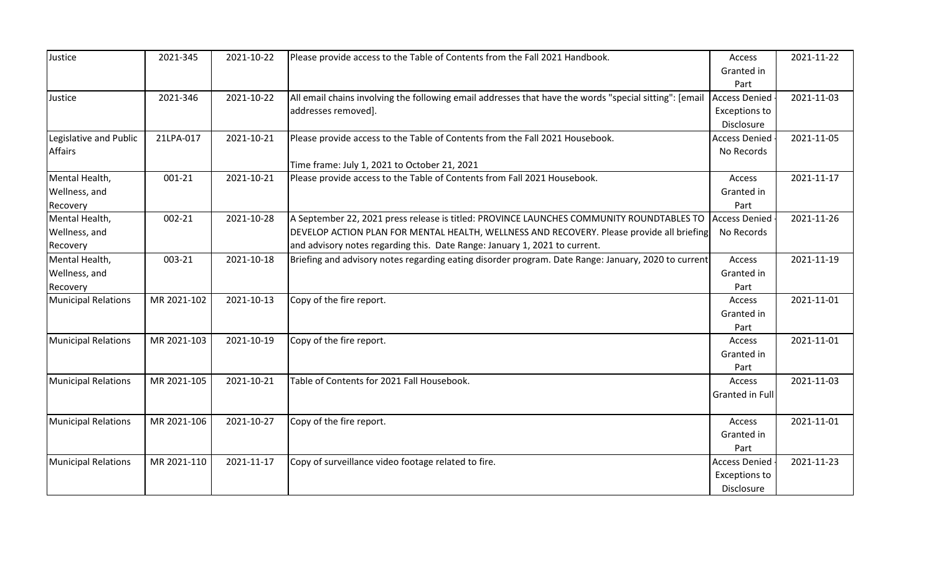| Justice                    | 2021-345    | 2021-10-22 | Please provide access to the Table of Contents from the Fall 2021 Handbook.                            | Access               | 2021-11-22 |
|----------------------------|-------------|------------|--------------------------------------------------------------------------------------------------------|----------------------|------------|
|                            |             |            |                                                                                                        | Granted in           |            |
|                            |             |            |                                                                                                        | Part                 |            |
| Justice                    | 2021-346    | 2021-10-22 | All email chains involving the following email addresses that have the words "special sitting": [email | <b>Access Denied</b> | 2021-11-03 |
|                            |             |            | addresses removed].                                                                                    | Exceptions to        |            |
|                            |             |            |                                                                                                        | Disclosure           |            |
| Legislative and Public     | 21LPA-017   | 2021-10-21 | Please provide access to the Table of Contents from the Fall 2021 Housebook.                           | <b>Access Denied</b> | 2021-11-05 |
| <b>Affairs</b>             |             |            |                                                                                                        | No Records           |            |
|                            |             |            | Time frame: July 1, 2021 to October 21, 2021                                                           |                      |            |
| Mental Health,             | 001-21      | 2021-10-21 | Please provide access to the Table of Contents from Fall 2021 Housebook.                               | Access               | 2021-11-17 |
| Wellness, and              |             |            |                                                                                                        | Granted in           |            |
| Recovery                   |             |            |                                                                                                        | Part                 |            |
| Mental Health,             | 002-21      | 2021-10-28 | A September 22, 2021 press release is titled: PROVINCE LAUNCHES COMMUNITY ROUNDTABLES TO               | <b>Access Denied</b> | 2021-11-26 |
| Wellness, and              |             |            | DEVELOP ACTION PLAN FOR MENTAL HEALTH, WELLNESS AND RECOVERY. Please provide all briefing              | No Records           |            |
| Recovery                   |             |            | and advisory notes regarding this. Date Range: January 1, 2021 to current.                             |                      |            |
| Mental Health,             | 003-21      | 2021-10-18 | Briefing and advisory notes regarding eating disorder program. Date Range: January, 2020 to current    | Access               | 2021-11-19 |
| Wellness, and              |             |            |                                                                                                        | Granted in           |            |
| Recovery                   |             |            |                                                                                                        | Part                 |            |
| <b>Municipal Relations</b> | MR 2021-102 | 2021-10-13 | Copy of the fire report.                                                                               | Access               | 2021-11-01 |
|                            |             |            |                                                                                                        | Granted in           |            |
|                            |             |            |                                                                                                        | Part                 |            |
| <b>Municipal Relations</b> | MR 2021-103 | 2021-10-19 | Copy of the fire report.                                                                               | Access               | 2021-11-01 |
|                            |             |            |                                                                                                        | Granted in           |            |
|                            |             |            |                                                                                                        | Part                 |            |
| <b>Municipal Relations</b> | MR 2021-105 | 2021-10-21 | Table of Contents for 2021 Fall Housebook.                                                             | Access               | 2021-11-03 |
|                            |             |            |                                                                                                        | Granted in Full      |            |
|                            |             |            |                                                                                                        |                      |            |
| <b>Municipal Relations</b> | MR 2021-106 | 2021-10-27 | Copy of the fire report.                                                                               | Access               | 2021-11-01 |
|                            |             |            |                                                                                                        | Granted in           |            |
|                            |             |            |                                                                                                        | Part                 |            |
| <b>Municipal Relations</b> | MR 2021-110 | 2021-11-17 | Copy of surveillance video footage related to fire.                                                    | <b>Access Denied</b> | 2021-11-23 |
|                            |             |            |                                                                                                        | <b>Exceptions to</b> |            |
|                            |             |            |                                                                                                        | Disclosure           |            |